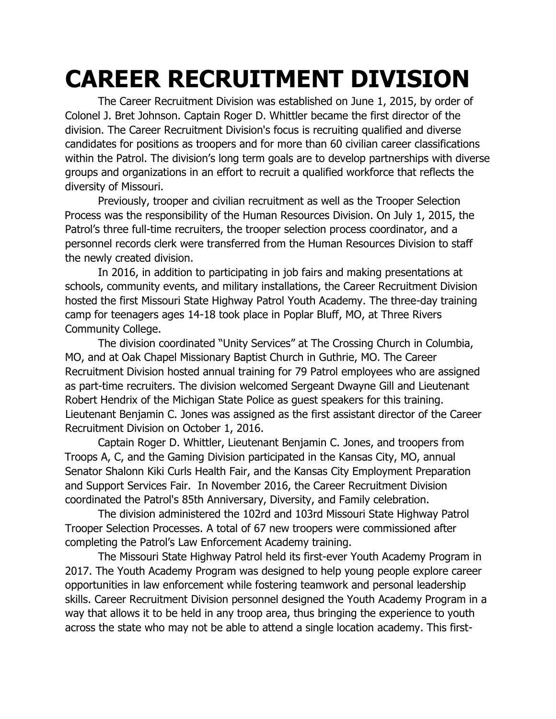## **CAREER RECRUITMENT DIVISION**

The Career Recruitment Division was established on June 1, 2015, by order of Colonel J. Bret Johnson. Captain Roger D. Whittler became the first director of the division. The Career Recruitment Division's focus is recruiting qualified and diverse candidates for positions as troopers and for more than 60 civilian career classifications within the Patrol. The division's long term goals are to develop partnerships with diverse groups and organizations in an effort to recruit a qualified workforce that reflects the diversity of Missouri.

Previously, trooper and civilian recruitment as well as the Trooper Selection Process was the responsibility of the Human Resources Division. On July 1, 2015, the Patrol's three full-time recruiters, the trooper selection process coordinator, and a personnel records clerk were transferred from the Human Resources Division to staff the newly created division.

In 2016, in addition to participating in job fairs and making presentations at schools, community events, and military installations, the Career Recruitment Division hosted the first Missouri State Highway Patrol Youth Academy. The three-day training camp for teenagers ages 14-18 took place in Poplar Bluff, MO, at Three Rivers Community College.

The division coordinated "Unity Services" at The Crossing Church in Columbia, MO, and at Oak Chapel Missionary Baptist Church in Guthrie, MO. The Career Recruitment Division hosted annual training for 79 Patrol employees who are assigned as part-time recruiters. The division welcomed Sergeant Dwayne Gill and Lieutenant Robert Hendrix of the Michigan State Police as guest speakers for this training. Lieutenant Benjamin C. Jones was assigned as the first assistant director of the Career Recruitment Division on October 1, 2016.

Captain Roger D. Whittler, Lieutenant Benjamin C. Jones, and troopers from Troops A, C, and the Gaming Division participated in the Kansas City, MO, annual Senator Shalonn Kiki Curls Health Fair, and the Kansas City Employment Preparation and Support Services Fair. In November 2016, the Career Recruitment Division coordinated the Patrol's 85th Anniversary, Diversity, and Family celebration.

The division administered the 102rd and 103rd Missouri State Highway Patrol Trooper Selection Processes. A total of 67 new troopers were commissioned after completing the Patrol's Law Enforcement Academy training.

The Missouri State Highway Patrol held its first-ever Youth Academy Program in 2017. The Youth Academy Program was designed to help young people explore career opportunities in law enforcement while fostering teamwork and personal leadership skills. Career Recruitment Division personnel designed the Youth Academy Program in a way that allows it to be held in any troop area, thus bringing the experience to youth across the state who may not be able to attend a single location academy. This first